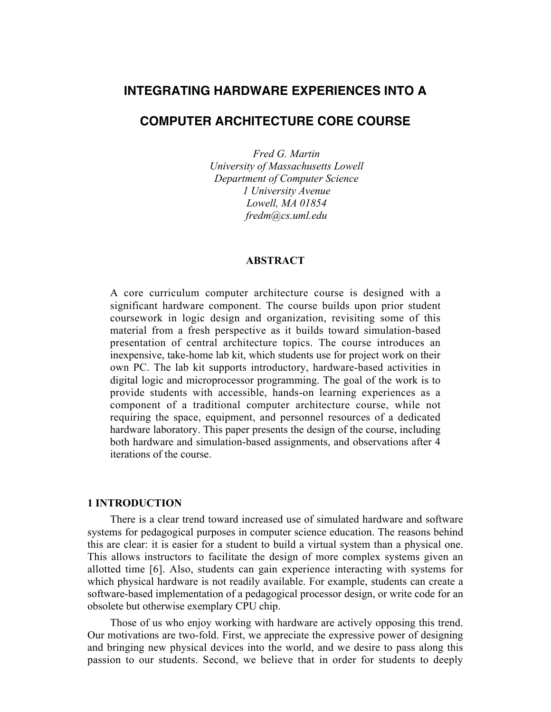# **INTEGRATING HARDWARE EXPERIENCES INTO A**

# **COMPUTER ARCHITECTURE CORE COURSE**

*Fred G. Martin University of Massachusetts Lowell Department of Computer Science 1 University Avenue Lowell, MA 01854 fredm@cs.uml.edu*

## ABSTRACT

A core curriculum computer architecture course is designed with a significant hardware component. The course builds upon prior student coursework in logic design and organization, revisiting some of this material from a fresh perspective as it builds toward simulation-based presentation of central architecture topics. The course introduces an inexpensive, take-home lab kit, which students use for project work on their own PC. The lab kit supports introductory, hardware-based activities in digital logic and microprocessor programming. The goal of the work is to provide students with accessible, hands-on learning experiences as a component of a traditional computer architecture course, while not requiring the space, equipment, and personnel resources of a dedicated hardware laboratory. This paper presents the design of the course, including both hardware and simulation-based assignments, and observations after 4 iterations of the course.

## 1 INTRODUCTION

There is a clear trend toward increased use of simulated hardware and software systems for pedagogical purposes in computer science education. The reasons behind this are clear: it is easier for a student to build a virtual system than a physical one. This allows instructors to facilitate the design of more complex systems given an allotted time [6]. Also, students can gain experience interacting with systems for which physical hardware is not readily available. For example, students can create a software-based implementation of a pedagogical processor design, or write code for an obsolete but otherwise exemplary CPU chip.

Those of us who enjoy working with hardware are actively opposing this trend. Our motivations are two-fold. First, we appreciate the expressive power of designing and bringing new physical devices into the world, and we desire to pass along this passion to our students. Second, we believe that in order for students to deeply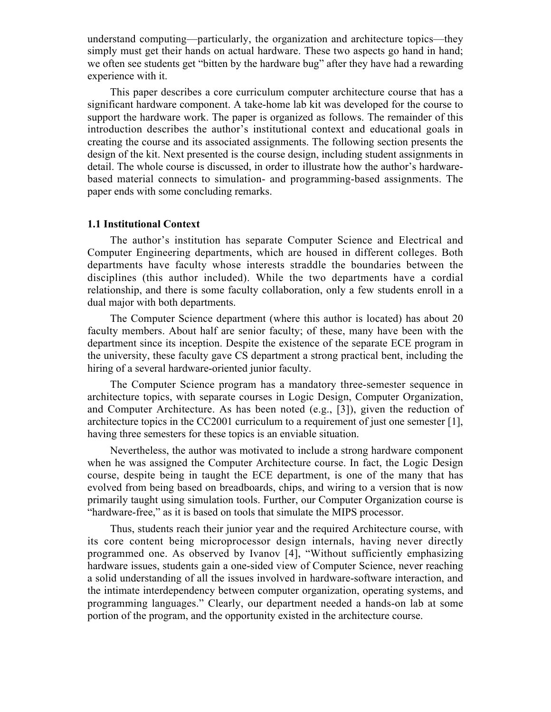understand computing—particularly, the organization and architecture topics—they simply must get their hands on actual hardware. These two aspects go hand in hand; we often see students get "bitten by the hardware bug" after they have had a rewarding experience with it.

This paper describes a core curriculum computer architecture course that has a significant hardware component. A take-home lab kit was developed for the course to support the hardware work. The paper is organized as follows. The remainder of this introduction describes the author's institutional context and educational goals in creating the course and its associated assignments. The following section presents the design of the kit. Next presented is the course design, including student assignments in detail. The whole course is discussed, in order to illustrate how the author's hardwarebased material connects to simulation- and programming-based assignments. The paper ends with some concluding remarks.

## 1.1 Institutional Context

The author's institution has separate Computer Science and Electrical and Computer Engineering departments, which are housed in different colleges. Both departments have faculty whose interests straddle the boundaries between the disciplines (this author included). While the two departments have a cordial relationship, and there is some faculty collaboration, only a few students enroll in a dual major with both departments.

The Computer Science department (where this author is located) has about 20 faculty members. About half are senior faculty; of these, many have been with the department since its inception. Despite the existence of the separate ECE program in the university, these faculty gave CS department a strong practical bent, including the hiring of a several hardware-oriented junior faculty.

The Computer Science program has a mandatory three-semester sequence in architecture topics, with separate courses in Logic Design, Computer Organization, and Computer Architecture. As has been noted (e.g., [3]), given the reduction of architecture topics in the CC2001 curriculum to a requirement of just one semester [1], having three semesters for these topics is an enviable situation.

Nevertheless, the author was motivated to include a strong hardware component when he was assigned the Computer Architecture course. In fact, the Logic Design course, despite being in taught the ECE department, is one of the many that has evolved from being based on breadboards, chips, and wiring to a version that is now primarily taught using simulation tools. Further, our Computer Organization course is "hardware-free," as it is based on tools that simulate the MIPS processor.

Thus, students reach their junior year and the required Architecture course, with its core content being microprocessor design internals, having never directly programmed one. As observed by Ivanov [4], "Without sufficiently emphasizing hardware issues, students gain a one-sided view of Computer Science, never reaching a solid understanding of all the issues involved in hardware-software interaction, and the intimate interdependency between computer organization, operating systems, and programming languages." Clearly, our department needed a hands-on lab at some portion of the program, and the opportunity existed in the architecture course.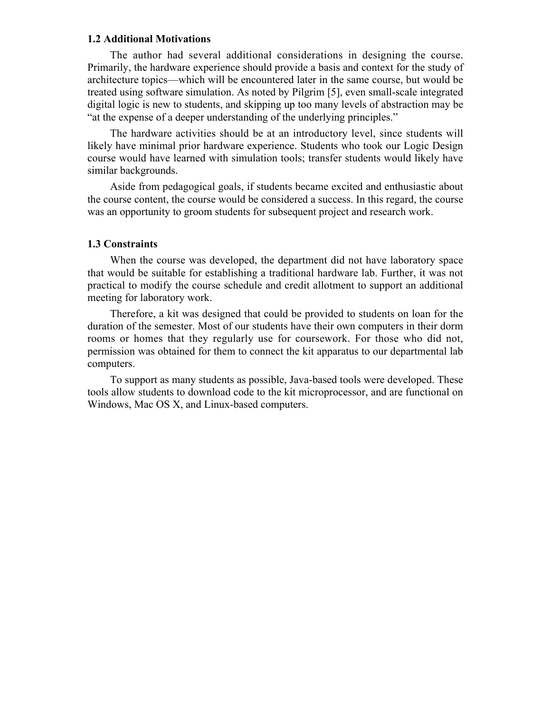## 1.2 Additional Motivations

The author had several additional considerations in designing the course. Primarily, the hardware experience should provide a basis and context for the study of architecture topics—which will be encountered later in the same course, but would be treated using software simulation. As noted by Pilgrim [5], even small-scale integrated digital logic is new to students, and skipping up too many levels of abstraction may be "at the expense of a deeper understanding of the underlying principles."

The hardware activities should be at an introductory level, since students will likely have minimal prior hardware experience. Students who took our Logic Design course would have learned with simulation tools; transfer students would likely have similar backgrounds.

Aside from pedagogical goals, if students became excited and enthusiastic about the course content, the course would be considered a success. In this regard, the course was an opportunity to groom students for subsequent project and research work.

## 1.3 Constraints

When the course was developed, the department did not have laboratory space that would be suitable for establishing a traditional hardware lab. Further, it was not practical to modify the course schedule and credit allotment to support an additional meeting for laboratory work.

Therefore, a kit was designed that could be provided to students on loan for the duration of the semester. Most of our students have their own computers in their dorm rooms or homes that they regularly use for coursework. For those who did not, permission was obtained for them to connect the kit apparatus to our departmental lab computers.

To support as many students as possible, Java-based tools were developed. These tools allow students to download code to the kit microprocessor, and are functional on Windows, Mac OS X, and Linux-based computers.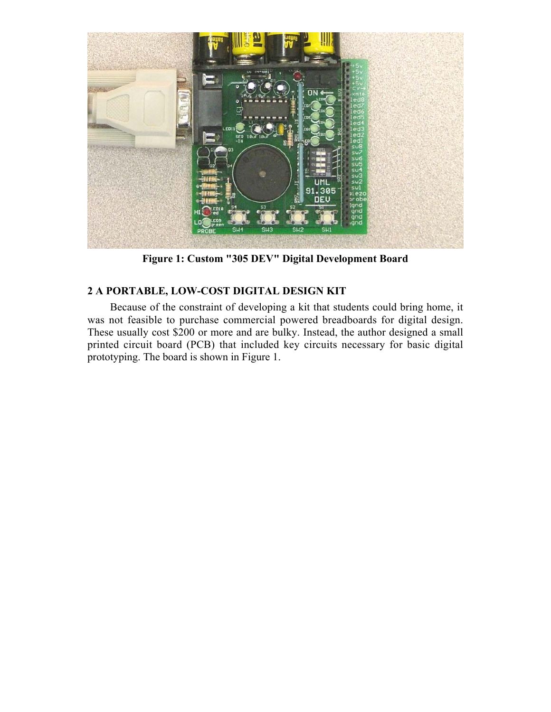

Figure 1: Custom "305 DEV" Digital Development Board

# 2 A PORTABLE, LOW-COST DIGITAL DESIGN KIT

Because of the constraint of developing a kit that students could bring home, it was not feasible to purchase commercial powered breadboards for digital design. These usually cost \$200 or more and are bulky. Instead, the author designed a small printed circuit board (PCB) that included key circuits necessary for basic digital prototyping. The board is shown in Figure 1.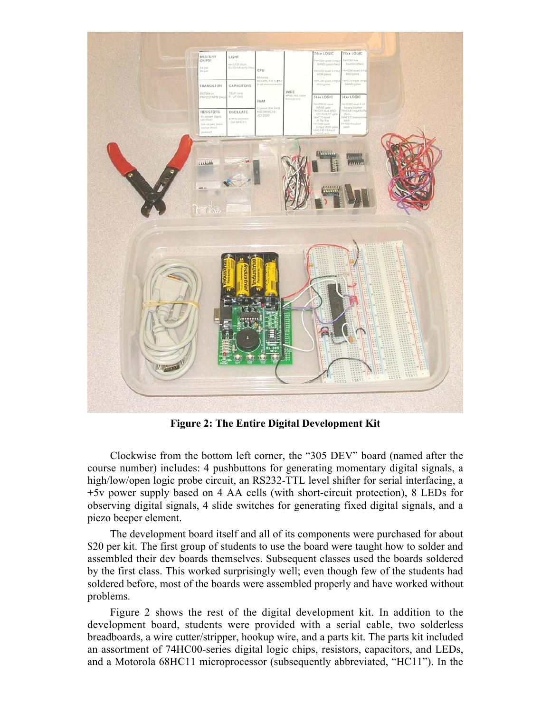

Figure 2: The Entire Digital Development Kit

Clockwise from the bottom left corner, the "305 DEV" board (named after the course number) includes: 4 pushbuttons for generating momentary digital signals, a high/low/open logic probe circuit, an RS232-TTL level shifter for serial interfacing, a +5v power supply based on 4 AA cells (with short-circuit protection), 8 LEDs for observing digital signals, 4 slide switches for generating fixed digital signals, and a piezo beeper element.

The development board itself and all of its components were purchased for about \$20 per kit. The first group of students to use the board were taught how to solder and assembled their dev boards themselves. Subsequent classes used the boards soldered by the first class. This worked surprisingly well; even though few of the students had soldered before, most of the boards were assembled properly and have worked without problems.

Figure 2 shows the rest of the digital development kit. In addition to the development board, students were provided with a serial cable, two solderless breadboards, a wire cutter/stripper, hookup wire, and a parts kit. The parts kit included an assortment of 74HC00-series digital logic chips, resistors, capacitors, and LEDs, and a Motorola 68HC11 microprocessor (subsequently abbreviated, "HC11"). In the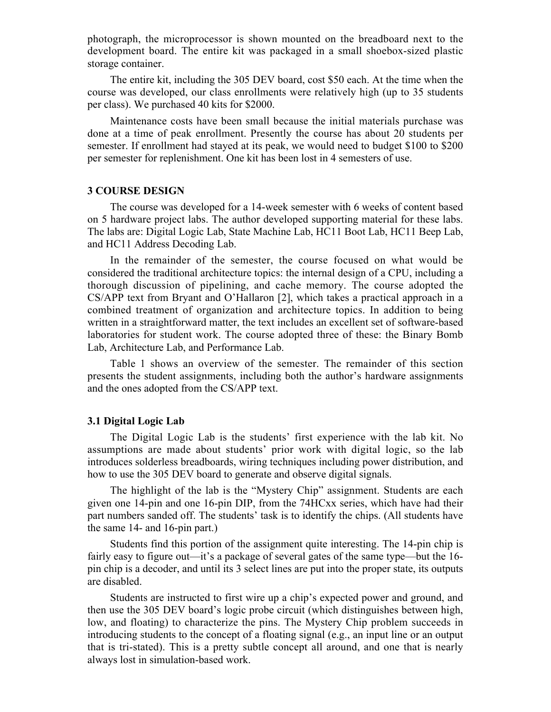photograph, the microprocessor is shown mounted on the breadboard next to the development board. The entire kit was packaged in a small shoebox-sized plastic storage container.

The entire kit, including the 305 DEV board, cost \$50 each. At the time when the course was developed, our class enrollments were relatively high (up to 35 students per class). We purchased 40 kits for \$2000.

Maintenance costs have been small because the initial materials purchase was done at a time of peak enrollment. Presently the course has about 20 students per semester. If enrollment had stayed at its peak, we would need to budget \$100 to \$200 per semester for replenishment. One kit has been lost in 4 semesters of use.

#### 3 COURSE DESIGN

The course was developed for a 14-week semester with 6 weeks of content based on 5 hardware project labs. The author developed supporting material for these labs. The labs are: Digital Logic Lab, State Machine Lab, HC11 Boot Lab, HC11 Beep Lab, and HC11 Address Decoding Lab.

In the remainder of the semester, the course focused on what would be considered the traditional architecture topics: the internal design of a CPU, including a thorough discussion of pipelining, and cache memory. The course adopted the CS/APP text from Bryant and O'Hallaron [2], which takes a practical approach in a combined treatment of organization and architecture topics. In addition to being written in a straightforward matter, the text includes an excellent set of software-based laboratories for student work. The course adopted three of these: the Binary Bomb Lab, Architecture Lab, and Performance Lab.

Table 1 shows an overview of the semester. The remainder of this section presents the student assignments, including both the author's hardware assignments and the ones adopted from the CS/APP text.

### 3.1 Digital Logic Lab

The Digital Logic Lab is the students' first experience with the lab kit. No assumptions are made about students' prior work with digital logic, so the lab introduces solderless breadboards, wiring techniques including power distribution, and how to use the 305 DEV board to generate and observe digital signals.

The highlight of the lab is the "Mystery Chip" assignment. Students are each given one 14-pin and one 16-pin DIP, from the 74HCxx series, which have had their part numbers sanded off. The students' task is to identify the chips. (All students have the same 14- and 16-pin part.)

Students find this portion of the assignment quite interesting. The 14-pin chip is fairly easy to figure out—it's a package of several gates of the same type—but the 16 pin chip is a decoder, and until its 3 select lines are put into the proper state, its outputs are disabled.

Students are instructed to first wire up a chip's expected power and ground, and then use the 305 DEV board's logic probe circuit (which distinguishes between high, low, and floating) to characterize the pins. The Mystery Chip problem succeeds in introducing students to the concept of a floating signal (e.g., an input line or an output that is tri-stated). This is a pretty subtle concept all around, and one that is nearly always lost in simulation-based work.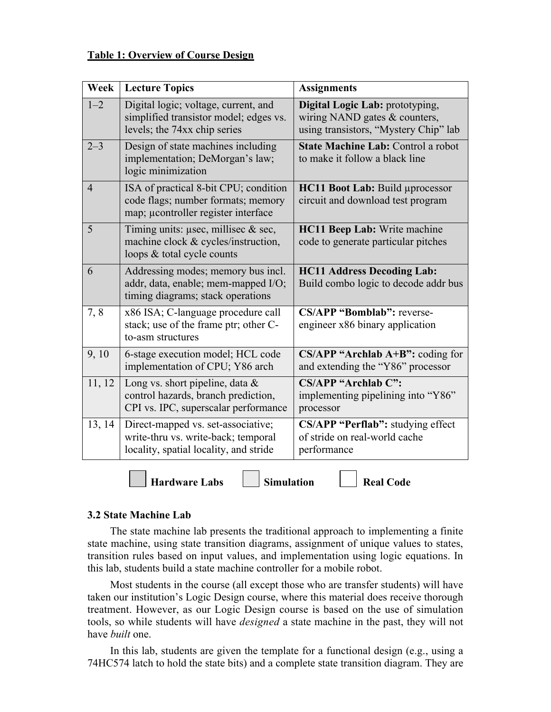| Week           | <b>Lecture Topics</b>                                                                                               | <b>Assignments</b>                                                                                          |
|----------------|---------------------------------------------------------------------------------------------------------------------|-------------------------------------------------------------------------------------------------------------|
| $1 - 2$        | Digital logic; voltage, current, and<br>simplified transistor model; edges vs.<br>levels; the 74xx chip series      | Digital Logic Lab: prototyping,<br>wiring NAND gates $&$ counters,<br>using transistors, "Mystery Chip" lab |
| $2 - 3$        | Design of state machines including<br>implementation; DeMorgan's law;<br>logic minimization                         | <b>State Machine Lab: Control a robot</b><br>to make it follow a black line                                 |
| $\overline{4}$ | ISA of practical 8-bit CPU; condition<br>code flags; number formats; memory<br>map; µcontroller register interface  | HC11 Boot Lab: Build uprocessor<br>circuit and download test program                                        |
| 5              | Timing units: $\mu$ sec, millisec & sec,<br>machine clock & cycles/instruction,<br>loops & total cycle counts       | HC11 Beep Lab: Write machine<br>code to generate particular pitches                                         |
| 6              | Addressing modes; memory bus incl.<br>addr, data, enable; mem-mapped I/O;<br>timing diagrams; stack operations      | <b>HC11 Address Decoding Lab:</b><br>Build combo logic to decode addr bus                                   |
| 7,8            | x86 ISA; C-language procedure call<br>stack; use of the frame ptr; other C-<br>to-asm structures                    | <b>CS/APP "Bomblab": reverse-</b><br>engineer x86 binary application                                        |
| 9, 10          | 6-stage execution model; HCL code<br>implementation of CPU; Y86 arch                                                | $CS/APP$ "Archlab $A+B$ ": coding for<br>and extending the "Y86" processor                                  |
| 11, 12         | Long vs. short pipeline, data $\&$<br>control hazards, branch prediction,<br>CPI vs. IPC, superscalar performance   | <b>CS/APP "Archlab C":</b><br>implementing pipelining into "Y86"<br>processor                               |
| 13, 14         | Direct-mapped vs. set-associative;<br>write-thru vs. write-back; temporal<br>locality, spatial locality, and stride | CS/APP "Perflab": studying effect<br>of stride on real-world cache<br>performance                           |
|                | <b>Hardware Labs</b><br><b>Simulation</b>                                                                           | <b>Real Code</b>                                                                                            |

## 3.2 State Machine Lab

The state machine lab presents the traditional approach to implementing a finite state machine, using state transition diagrams, assignment of unique values to states, transition rules based on input values, and implementation using logic equations. In this lab, students build a state machine controller for a mobile robot.

Most students in the course (all except those who are transfer students) will have taken our institution's Logic Design course, where this material does receive thorough treatment. However, as our Logic Design course is based on the use of simulation tools, so while students will have *designed* a state machine in the past, they will not have *built* one.

In this lab, students are given the template for a functional design (e.g., using a 74HC574 latch to hold the state bits) and a complete state transition diagram. They are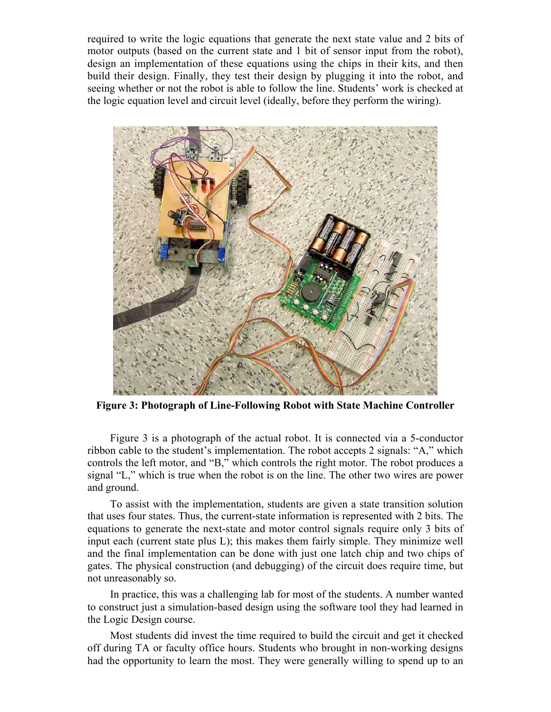required to write the logic equations that generate the next state value and 2 bits of motor outputs (based on the current state and 1 bit of sensor input from the robot), design an implementation of these equations using the chips in their kits, and then build their design. Finally, they test their design by plugging it into the robot, and seeing whether or not the robot is able to follow the line. Students' work is checked at the logic equation level and circuit level (ideally, before they perform the wiring).



Figure 3: Photograph of Line-Following Robot with State Machine Controller

Figure 3 is a photograph of the actual robot. It is connected via a 5-conductor ribbon cable to the student's implementation. The robot accepts 2 signals: "A," which controls the left motor, and "B," which controls the right motor. The robot produces a signal "L," which is true when the robot is on the line. The other two wires are power and ground.

To assist with the implementation, students are given a state transition solution that uses four states. Thus, the current-state information is represented with 2 bits. The equations to generate the next-state and motor control signals require only 3 bits of input each (current state plus L); this makes them fairly simple. They minimize well and the final implementation can be done with just one latch chip and two chips of gates. The physical construction (and debugging) of the circuit does require time, but not unreasonably so.

In practice, this was a challenging lab for most of the students. A number wanted to construct just a simulation-based design using the software tool they had learned in the Logic Design course.

Most students did invest the time required to build the circuit and get it checked off during TA or faculty office hours. Students who brought in non-working designs had the opportunity to learn the most. They were generally willing to spend up to an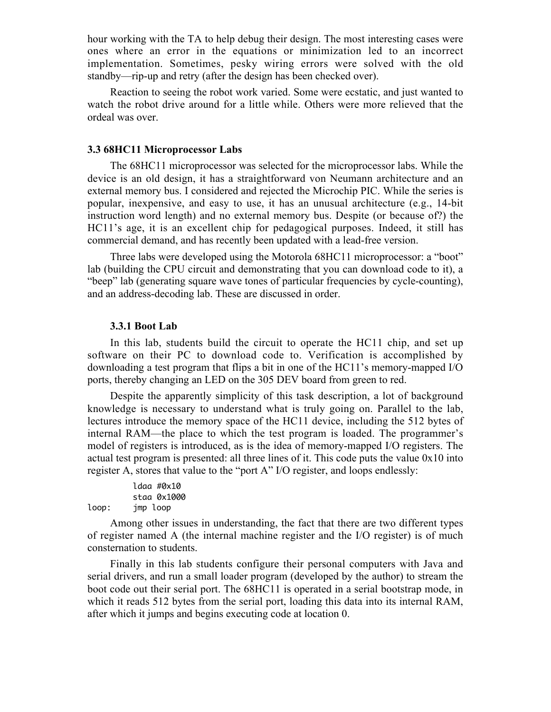hour working with the TA to help debug their design. The most interesting cases were ones where an error in the equations or minimization led to an incorrect implementation. Sometimes, pesky wiring errors were solved with the old standby—rip-up and retry (after the design has been checked over).

Reaction to seeing the robot work varied. Some were ecstatic, and just wanted to watch the robot drive around for a little while. Others were more relieved that the ordeal was over.

#### 3.3 68HC11 Microprocessor Labs

The 68HC11 microprocessor was selected for the microprocessor labs. While the device is an old design, it has a straightforward von Neumann architecture and an external memory bus. I considered and rejected the Microchip PIC. While the series is popular, inexpensive, and easy to use, it has an unusual architecture (e.g., 14-bit instruction word length) and no external memory bus. Despite (or because of?) the HC11's age, it is an excellent chip for pedagogical purposes. Indeed, it still has commercial demand, and has recently been updated with a lead-free version.

Three labs were developed using the Motorola 68HC11 microprocessor: a "boot" lab (building the CPU circuit and demonstrating that you can download code to it), a "beep" lab (generating square wave tones of particular frequencies by cycle-counting), and an address-decoding lab. These are discussed in order.

#### 3.3.1 Boot Lab

In this lab, students build the circuit to operate the HC11 chip, and set up software on their PC to download code to. Verification is accomplished by downloading a test program that flips a bit in one of the HC11's memory-mapped I/O ports, thereby changing an LED on the 305 DEV board from green to red.

Despite the apparently simplicity of this task description, a lot of background knowledge is necessary to understand what is truly going on. Parallel to the lab, lectures introduce the memory space of the HC11 device, including the 512 bytes of internal RAM—the place to which the test program is loaded. The programmer's model of registers is introduced, as is the idea of memory-mapped I/O registers. The actual test program is presented: all three lines of it. This code puts the value 0x10 into register A, stores that value to the "port A" I/O register, and loops endlessly:

|       | ldaa #0x10  |
|-------|-------------|
|       | staa 0x1000 |
| loop: | imp loop    |

Among other issues in understanding, the fact that there are two different types of register named A (the internal machine register and the I/O register) is of much consternation to students.

Finally in this lab students configure their personal computers with Java and serial drivers, and run a small loader program (developed by the author) to stream the boot code out their serial port. The 68HC11 is operated in a serial bootstrap mode, in which it reads 512 bytes from the serial port, loading this data into its internal RAM, after which it jumps and begins executing code at location 0.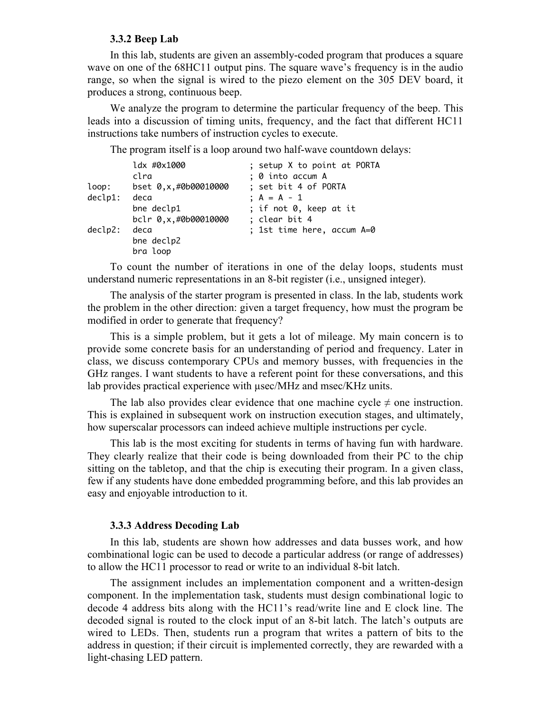## 3.3.2 Beep Lab

In this lab, students are given an assembly-coded program that produces a square wave on one of the 68HC11 output pins. The square wave's frequency is in the audio range, so when the signal is wired to the piezo element on the 305 DEV board, it produces a strong, continuous beep.

We analyze the program to determine the particular frequency of the beep. This leads into a discussion of timing units, frequency, and the fact that different HC11 instructions take numbers of instruction cycles to execute.

The program itself is a loop around two half-wave countdown delays:

|            | ldx #0x1000          | ; setup X to point at PORTA |
|------------|----------------------|-----------------------------|
|            | clra                 | ; 0 into accum A            |
| loop:      | bset 0,x,#0b00010000 | ; set bit 4 of PORTA        |
| $declp1$ : | deca                 | ; $A = A - 1$               |
|            | bne declp1           | ; if not 0, keep at it      |
|            | bclr 0,x,#0b00010000 | ; clear bit 4               |
| $declp2$ : | deca                 | ; 1st time here, accum A=0  |
|            | bne declp2           |                             |
|            | bra loop             |                             |

To count the number of iterations in one of the delay loops, students must understand numeric representations in an 8-bit register (i.e., unsigned integer).

The analysis of the starter program is presented in class. In the lab, students work the problem in the other direction: given a target frequency, how must the program be modified in order to generate that frequency?

This is a simple problem, but it gets a lot of mileage. My main concern is to provide some concrete basis for an understanding of period and frequency. Later in class, we discuss contemporary CPUs and memory busses, with frequencies in the GHz ranges. I want students to have a referent point for these conversations, and this lab provides practical experience with  $\mu$ sec/MHz and msec/KHz units.

The lab also provides clear evidence that one machine cycle  $\neq$  one instruction. This is explained in subsequent work on instruction execution stages, and ultimately, how superscalar processors can indeed achieve multiple instructions per cycle.

This lab is the most exciting for students in terms of having fun with hardware. They clearly realize that their code is being downloaded from their PC to the chip sitting on the tabletop, and that the chip is executing their program. In a given class, few if any students have done embedded programming before, and this lab provides an easy and enjoyable introduction to it.

## 3.3.3 Address Decoding Lab

In this lab, students are shown how addresses and data busses work, and how combinational logic can be used to decode a particular address (or range of addresses) to allow the HC11 processor to read or write to an individual 8-bit latch.

The assignment includes an implementation component and a written-design component. In the implementation task, students must design combinational logic to decode 4 address bits along with the HC11's read/write line and E clock line. The decoded signal is routed to the clock input of an 8-bit latch. The latch's outputs are wired to LEDs. Then, students run a program that writes a pattern of bits to the address in question; if their circuit is implemented correctly, they are rewarded with a light-chasing LED pattern.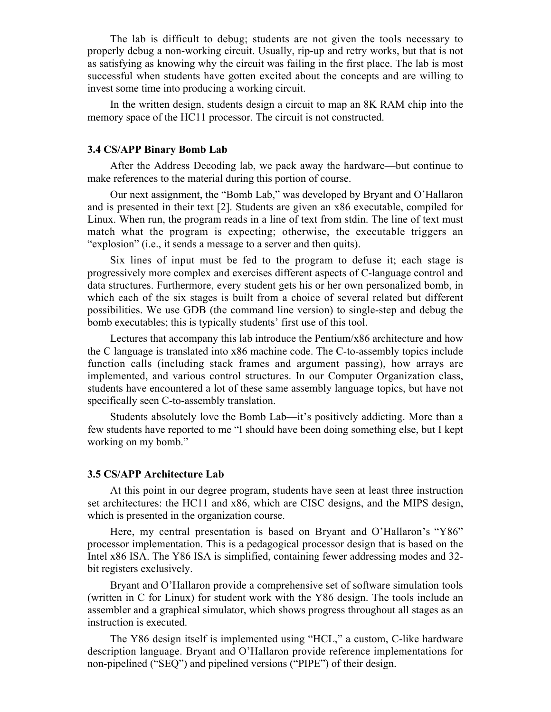The lab is difficult to debug; students are not given the tools necessary to properly debug a non-working circuit. Usually, rip-up and retry works, but that is not as satisfying as knowing why the circuit was failing in the first place. The lab is most successful when students have gotten excited about the concepts and are willing to invest some time into producing a working circuit.

In the written design, students design a circuit to map an 8K RAM chip into the memory space of the HC11 processor. The circuit is not constructed.

## 3.4 CS/APP Binary Bomb Lab

After the Address Decoding lab, we pack away the hardware—but continue to make references to the material during this portion of course.

Our next assignment, the "Bomb Lab," was developed by Bryant and O'Hallaron and is presented in their text [2]. Students are given an x86 executable, compiled for Linux. When run, the program reads in a line of text from stdin. The line of text must match what the program is expecting; otherwise, the executable triggers an "explosion" (i.e., it sends a message to a server and then quits).

Six lines of input must be fed to the program to defuse it; each stage is progressively more complex and exercises different aspects of C-language control and data structures. Furthermore, every student gets his or her own personalized bomb, in which each of the six stages is built from a choice of several related but different possibilities. We use GDB (the command line version) to single-step and debug the bomb executables; this is typically students' first use of this tool.

Lectures that accompany this lab introduce the Pentium/x86 architecture and how the C language is translated into x86 machine code. The C-to-assembly topics include function calls (including stack frames and argument passing), how arrays are implemented, and various control structures. In our Computer Organization class, students have encountered a lot of these same assembly language topics, but have not specifically seen C-to-assembly translation.

Students absolutely love the Bomb Lab—it's positively addicting. More than a few students have reported to me "I should have been doing something else, but I kept working on my bomb."

### 3.5 CS/APP Architecture Lab

At this point in our degree program, students have seen at least three instruction set architectures: the HC11 and x86, which are CISC designs, and the MIPS design, which is presented in the organization course.

Here, my central presentation is based on Bryant and O'Hallaron's "Y86" processor implementation. This is a pedagogical processor design that is based on the Intel x86 ISA. The Y86 ISA is simplified, containing fewer addressing modes and 32 bit registers exclusively.

Bryant and O'Hallaron provide a comprehensive set of software simulation tools (written in C for Linux) for student work with the Y86 design. The tools include an assembler and a graphical simulator, which shows progress throughout all stages as an instruction is executed.

The Y86 design itself is implemented using "HCL," a custom, C-like hardware description language. Bryant and O'Hallaron provide reference implementations for non-pipelined ("SEQ") and pipelined versions ("PIPE") of their design.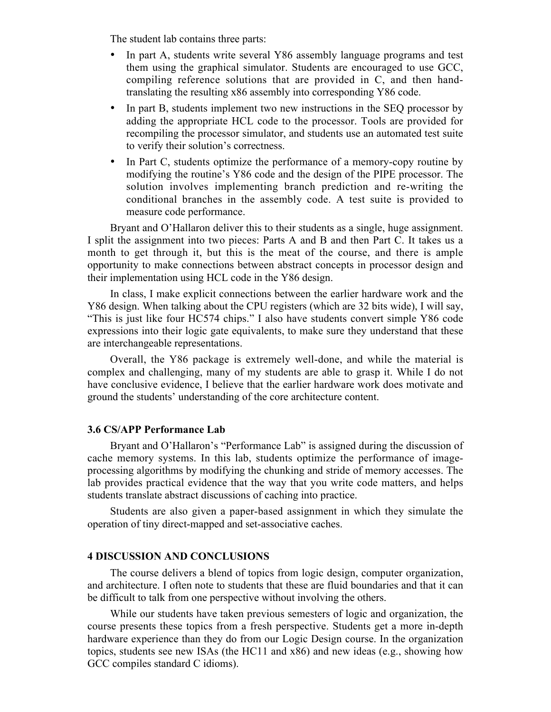The student lab contains three parts:

- In part A, students write several Y86 assembly language programs and test them using the graphical simulator. Students are encouraged to use GCC, compiling reference solutions that are provided in C, and then handtranslating the resulting x86 assembly into corresponding Y86 code.
- In part B, students implement two new instructions in the SEQ processor by adding the appropriate HCL code to the processor. Tools are provided for recompiling the processor simulator, and students use an automated test suite to verify their solution's correctness.
- In Part C, students optimize the performance of a memory-copy routine by modifying the routine's Y86 code and the design of the PIPE processor. The solution involves implementing branch prediction and re-writing the conditional branches in the assembly code. A test suite is provided to measure code performance.

Bryant and O'Hallaron deliver this to their students as a single, huge assignment. I split the assignment into two pieces: Parts A and B and then Part C. It takes us a month to get through it, but this is the meat of the course, and there is ample opportunity to make connections between abstract concepts in processor design and their implementation using HCL code in the Y86 design.

In class, I make explicit connections between the earlier hardware work and the Y86 design. When talking about the CPU registers (which are 32 bits wide), I will say, "This is just like four HC574 chips." I also have students convert simple Y86 code expressions into their logic gate equivalents, to make sure they understand that these are interchangeable representations.

Overall, the Y86 package is extremely well-done, and while the material is complex and challenging, many of my students are able to grasp it. While I do not have conclusive evidence, I believe that the earlier hardware work does motivate and ground the students' understanding of the core architecture content.

## 3.6 CS/APP Performance Lab

Bryant and O'Hallaron's "Performance Lab" is assigned during the discussion of cache memory systems. In this lab, students optimize the performance of imageprocessing algorithms by modifying the chunking and stride of memory accesses. The lab provides practical evidence that the way that you write code matters, and helps students translate abstract discussions of caching into practice.

Students are also given a paper-based assignment in which they simulate the operation of tiny direct-mapped and set-associative caches.

## 4 DISCUSSION AND CONCLUSIONS

The course delivers a blend of topics from logic design, computer organization, and architecture. I often note to students that these are fluid boundaries and that it can be difficult to talk from one perspective without involving the others.

While our students have taken previous semesters of logic and organization, the course presents these topics from a fresh perspective. Students get a more in-depth hardware experience than they do from our Logic Design course. In the organization topics, students see new ISAs (the HC11 and x86) and new ideas (e.g., showing how GCC compiles standard C idioms).